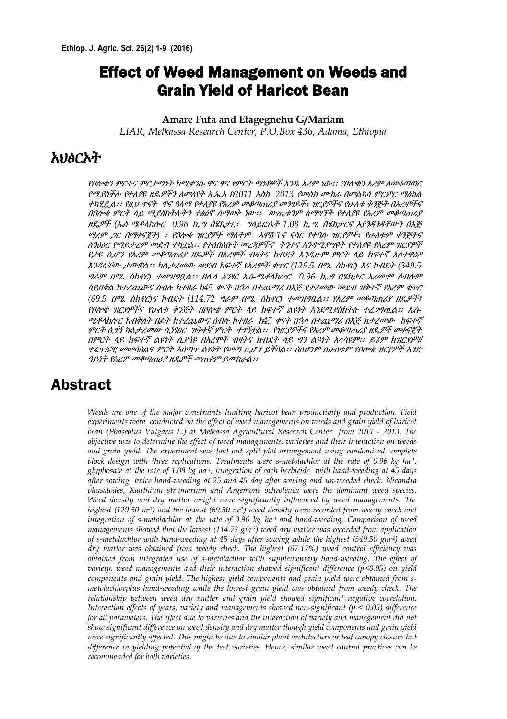## Effect of Weed Management on Weeds and Grain Yield of Haricot Bean

#### **Amare Fufa and Etagegnehu G/Mariam**

*EIAR, Melkassa Research Center, P.O.Box 436, Adama, Ethiopia*

#### አህፅርኦት

የቦሎቄን ምርትና ምርታማነት ከሚቀንሱ ዋና ዋና የምርት ማነቆዎች አንዱ አረም ነው፡፡ የቦሎቄን አረም ለመቆጣጣር የሚያስችለ የተሇያዩ ዴዎችን ሇመሇየት <sup>እ</sup>.ኤ.<sup>አ</sup> <sup>ከ</sup>*2011* እስከ *2013* የመስክ ሙከራ በመሌካሳ ምርምር ማዕከሌ ተካሂዷል፡፡ የዚህ ጥናት ዋና ዓላማ የተለያዩ የአረም መቆጣጠሪያ መንገዶች፤ ዝርያዎችና የሁለቱ ቅንጅት በአረምችና በቦለ *ቁ ምርት ላይ ሚያስከትሉትን ተፅዕኖ ለማወቅ ነው፡፡ ውጤቱንም ለማግኘት የተለያዩ የአረም መቆጣጠሪያ* ዴዎች *(*ኤስ*-*ሜቶሊክልር *0.96* ኪ*.*<sup>ግ</sup> በሄክታር፣ ግሊይፎሴት *1.08* ኪ*.*ግ*.* በሄክታርና እያንዳንዳቸውን በእጅ *ሚረም ጋር በማቀናጀት) ፣ የበሎቄ ዝርያዎች ማለትም አዋሽ-1ና ናስር የተባሉ ዝርያዎች፤ የሁለቱም ቅንጅትና* ሇንፅፅር የማይታረም መደብ ተካቷሌ፡፡ የተሰበሰቡት መረጃዎችና ትንተና እንዳሚያሣዩት የተሇያዩ የአረም ዝርያዎች የታዩ ሲሆን የአረም መቆጣጠሪያ ዴዎች በአረሞች ብዛትና ክብደት እንዲሁም ምርት ሊይ ከፍተኛ አስተዋፅዖ እንዳሊቸው ታውቋሌ፡፡ ካሌታረመው መደብ ከፍተኛ የአረሞች ቁጥር *(129.5* በሜ*.* ስኩየር*)* እና ክብደት *(349.5*  ግራም በሜ*.* ስኩየር*)* ተመዝግቧሌ፡፡ በላሊ አንፃር ኤስ*-*ሜቶሊክልር *0.96* ኪ*.*<sup>ግ</sup> በሄክታር አረሙም ሰብለም ሳይበቅሌ ከተረጨውና ሰብለ ከተራ <sup>ከ</sup>*45* ቀናት በኋሊ በተጨማሪ በእጅ የታረመው መደብ ዝቅተኛ የአረም ቁጥር  $(69.5$  *በሜ. ስኩየር)ና ክብደት (114.72 ግራም በሜ. ስኩየር) ተመዝግቧል፡፡ የአረም መቆጣጠሪያ ዘዴዎች፣* የቦልቄ ዝርያዎችና የሁሇቱ ቅንጅት በቦልቄ ምርት ሊይ ከፍተኛ ሌዩነት እንደሚያስከትለ ተረጋግጧሌ፡፡ ኤስ*-*ሜቶሊክልር ከብቅሇት በፊት ከተረጨውና ሰብለ ከተራ <sup>ከ</sup>*45* ቀናት በኋሊ በተጨማሪ በእጅ ከታረመውከፍተኛ ምርት ሲገኝ ካሌታረመው ሲነፃፀርዝቅተኛ ምርትተገኝቷሌ፡፡ የዝርያዎችና የአረም መቆጣጠሪያ ዴዎች መቀናጀት በምርት ሊይ ከፍተኛ ሌዩነት ሲያሳዩ በአረሞች ብዛትና ክብደት ሊይ ግን ሌዩነት አሊሳዩም፡፡ ይሄም ከዝርያዎቹ ተፈጥሯዊ መመሳሰልና ምርት አሰጣጥ ልዩነት የመጣ ሲሆን ይችላል፡፡ ስለሆነም ለሁለቱም የቦሎቄ ዝርያዎች አንድ ዓይነት የአረም መቆጣጠሪያ ዘዴዎች መጠቀም ይመከራል፡፡

#### Abstract

*Weeds are one of the major constraints limiting haricot bean productivity and production. Field experiments were conducted on the effect of weed managements on weeds and grain yield of haricot bean (Phaseolus Vulgaris L.) at Melkassa Agricultural Research Center from 2011 - 2013. The objective was to determine the effect of weed managements, varieties and their interaction on weeds and grain yield. The experiment was laid out split plot arrangement using randomized complete block design with three replications. Treatments were s-metolachlor at the rate of 0.96 kg ha-1 , glyphosate at the rate of 1.08 kg ha-1 , integration of each herbicide with hand-weeding at 45 days after sowing, twice hand-weeding at 25 and 45 day after sowing and un-weeded check. Nicandra physalodes, Xanthium strumarium and Argemone ochroleuca were the dominant weed species. Weed density and dry matter weight were significantly influenced by weed managements. The highest (129.50 m-2 ) and the lowest (69.50 m-2 ) weed density were recorded from weedy check and integration of s-metolachlor at the rate of 0.96 kg ha-1 and hand-weeding. Comparison of weed managements showed that the lowest (114.72 gm-2 ) weed dry matter was recorded from application of s-metolachlor with hand-weeding at 45 days after sowing while the highest (349.50 gm-2 ) weed dry matter was obtained from weedy check. The highest (67.17%) weed control efficiency was obtained from integrated use of s-metolachlor with supplementary hand-weeding. The effect of variety, weed managements and their interaction showed significant difference (p<0.05) on yield components and grain yield. The highest yield components and grain yield were obtained from smetolachlorplus hand-weeding while the lowest grain yield was obtained from weedy check. The relationship between weed dry matter and grain yield showed significant negative correlation. Interaction effects of years, variety and managements showed non-significant (p < 0.05) difference for all parameters. The effect due to varieties and the interaction of variety and management did not show significant difference on weed density and dry matter though yield components and grain yield were significantly affected. This might be due to similar plant architecture or leaf canopy closure but difference in yielding potential of the test varieties. Hence, similar weed control practices can be recommended for both varieties.*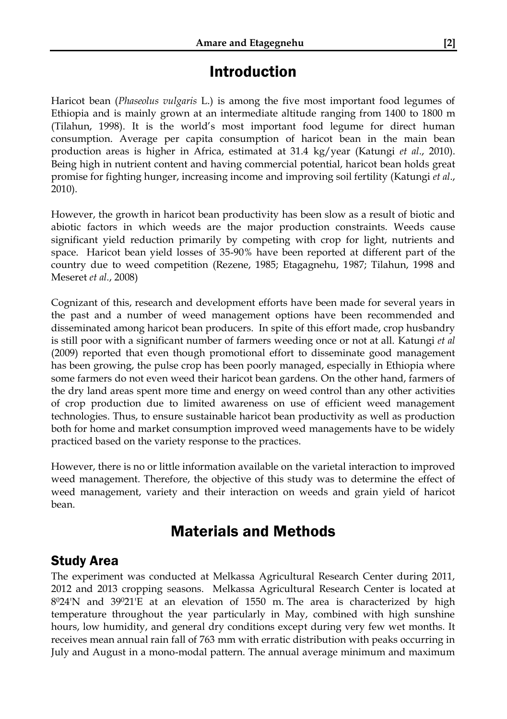## Introduction

Haricot bean (*Phaseolus vulgaris* L.) is among the five most important food legumes of Ethiopia and is mainly grown at an intermediate altitude ranging from 1400 to 1800 m (Tilahun, 1998). It is the world's most important food legume for direct human consumption. Average per capita consumption of haricot bean in the main bean production areas is higher in Africa, estimated at 31.4 kg/year (Katungi *et al*., 2010). Being high in nutrient content and having commercial potential, haricot bean holds great promise for fighting hunger, increasing income and improving soil fertility (Katungi *et al*., 2010).

However, the growth in haricot bean productivity has been slow as a result of biotic and abiotic factors in which weeds are the major production constraints. Weeds cause significant yield reduction primarily by competing with crop for light, nutrients and space. Haricot bean yield losses of 35-90% have been reported at different part of the country due to weed competition (Rezene, 1985; Etagagnehu, 1987; Tilahun, 1998 and Meseret *et al.*, 2008)

Cognizant of this, research and development efforts have been made for several years in the past and a number of weed management options have been recommended and disseminated among haricot bean producers. In spite of this effort made, crop husbandry is still poor with a significant number of farmers weeding once or not at all. Katungi *et al* (2009) reported that even though promotional effort to disseminate good management has been growing, the pulse crop has been poorly managed, especially in Ethiopia where some farmers do not even weed their haricot bean gardens. On the other hand, farmers of the dry land areas spent more time and energy on weed control than any other activities of crop production due to limited awareness on use of efficient weed management technologies. Thus, to ensure sustainable haricot bean productivity as well as production both for home and market consumption improved weed managements have to be widely practiced based on the variety response to the practices.

However, there is no or little information available on the varietal interaction to improved weed management. Therefore, the objective of this study was to determine the effect of weed management, variety and their interaction on weeds and grain yield of haricot bean.

## Materials and Methods

#### Study Area

The experiment was conducted at Melkassa Agricultural Research Center during 2011, 2012 and 2013 cropping seasons. Melkassa Agricultural Research Center is located at 8 <sup>0</sup>24'N and 39021'E at an elevation of 1550 m. The area is characterized by high temperature throughout the year particularly in May, combined with high sunshine hours, low humidity, and general dry conditions except during very few wet months. It receives mean annual rain fall of 763 mm with erratic distribution with peaks occurring in July and August in a mono-modal pattern. The annual average minimum and maximum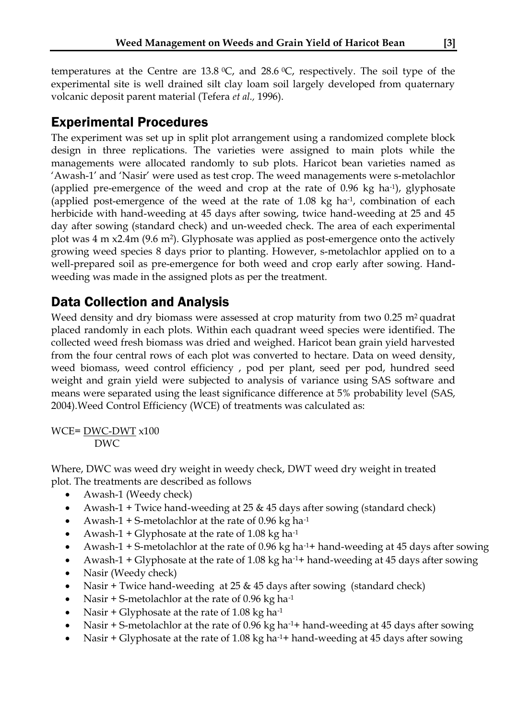temperatures at the Centre are 13.8  $\degree$ C, and 28.6  $\degree$ C, respectively. The soil type of the experimental site is well drained silt clay loam soil largely developed from quaternary volcanic deposit parent material (Tefera *et al.,* 1996).

## Experimental Procedures

The experiment was set up in split plot arrangement using a randomized complete block design in three replications. The varieties were assigned to main plots while the managements were allocated randomly to sub plots. Haricot bean varieties named as 'Awash-1' and 'Nasir' were used as test crop. The weed managements were s-metolachlor (applied pre-emergence of the weed and crop at the rate of 0.96 kg ha-1 ), glyphosate (applied post-emergence of the weed at the rate of  $1.08 \text{ kg}$  ha<sup>-1</sup>, combination of each herbicide with hand-weeding at 45 days after sowing, twice hand-weeding at 25 and 45 day after sowing (standard check) and un-weeded check. The area of each experimental plot was 4 m x2.4m (9.6 m<sup>2</sup> ). Glyphosate was applied as post-emergence onto the actively growing weed species 8 days prior to planting. However, s-metolachlor applied on to a well-prepared soil as pre-emergence for both weed and crop early after sowing. Handweeding was made in the assigned plots as per the treatment.

#### Data Collection and Analysis

Weed density and dry biomass were assessed at crop maturity from two  $0.25$  m<sup>2</sup> quadrat placed randomly in each plots. Within each quadrant weed species were identified. The collected weed fresh biomass was dried and weighed. Haricot bean grain yield harvested from the four central rows of each plot was converted to hectare. Data on weed density, weed biomass, weed control efficiency , pod per plant, seed per pod, hundred seed weight and grain yield were subjected to analysis of variance using SAS software and means were separated using the least significance difference at 5% probability level (SAS, 2004).Weed Control Efficiency (WCE) of treatments was calculated as:

WCE= DWC-DWT x100 DWC

Where, DWC was weed dry weight in weedy check, DWT weed dry weight in treated plot. The treatments are described as follows

- Awash-1 (Weedy check)
- Awash-1 + Twice hand-weeding at 25 & 45 days after sowing (standard check)
- Awash-1 + S-metolachlor at the rate of 0.96 kg ha-1
- Awash-1 + Glyphosate at the rate of 1.08 kg ha-1
- Awash-1 + S-metolachlor at the rate of 0.96 kg ha-1+ hand-weeding at 45 days after sowing
- Awash-1 + Glyphosate at the rate of 1.08 kg ha<sup>-1</sup>+ hand-weeding at 45 days after sowing
- Nasir (Weedy check)
- Nasir + Twice hand-weeding at 25 & 45 days after sowing (standard check)
- Nasir + S-metolachlor at the rate of 0.96 kg ha-1
- Nasir + Glyphosate at the rate of 1.08 kg ha-1
- Nasir + S-metolachlor at the rate of 0.96 kg ha-1+ hand-weeding at 45 days after sowing
- Nasir + Glyphosate at the rate of 1.08 kg ha-1+ hand-weeding at 45 days after sowing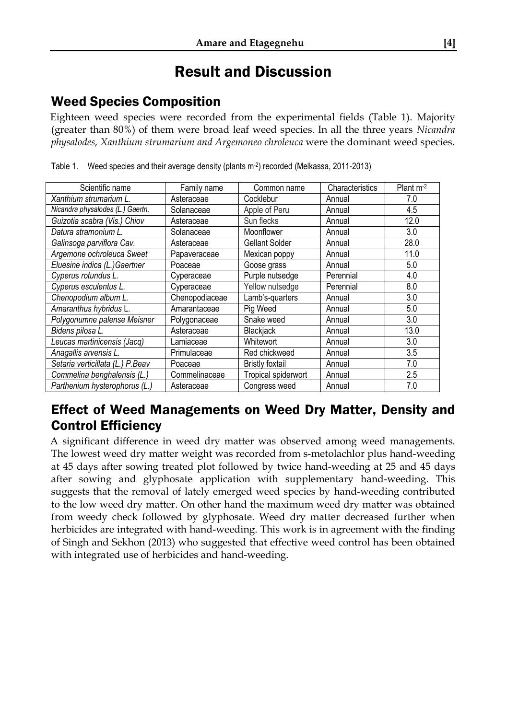# Result and Discussion

## Weed Species Composition

Eighteen weed species were recorded from the experimental fields (Table 1). Majority (greater than 80%) of them were broad leaf weed species. In all the three years *Nicandra physalodes, Xanthium strumarium and Argemoneo chroleuca* were the dominant weed species.

| Scientific name                  | Family name    | Common name         | Characteristics | Plant $m-2$ |
|----------------------------------|----------------|---------------------|-----------------|-------------|
| Xanthium strumarium L.           | Asteraceae     | Cocklebur           | Annual          | 7.0         |
| Nicandra physalodes (L.) Gaertn. | Solanaceae     | Apple of Peru       | Annual          | 4.5         |
| Guizotia scabra (Vis.) Chiov     | Asteraceae     | Sun flecks          | Annual          | 12.0        |
| Datura stramonium L.             | Solanaceae     | Moonflower          | Annual          | 3.0         |
| Galinsoga parviflora Cav.        | Asteraceae     | Gellant Solder      | Annual          | 28.0        |
| Argemone ochroleuca Sweet        | Papaveraceae   | Mexican poppy       | Annual          | 11.0        |
| Eluesine indica (L.)Gaertner     | Poaceae        | Goose grass         | Annual          | 5.0         |
| Cyperus rotundus L.              | Cyperaceae     | Purple nutsedge     | Perennial       | 4.0         |
| Cyperus esculentus L.            | Cyperaceae     | Yellow nutsedge     | Perennial       | 8.0         |
| Chenopodium album L.             | Chenopodiaceae | Lamb's-quarters     | Annual          | 3.0         |
| Amaranthus hybridus L.           | Amarantaceae   | Pig Weed            | Annual          | 5.0         |
| Polygonumne palense Meisner      | Polygonaceae   | Snake weed          | Annual          | 3.0         |
| Bidens pilosa L.                 | Asteraceae     | Blackjack           | Annual          | 13.0        |
| Leucas martinicensis (Jacq)      | Lamiaceae      | Whitewort           | Annual          | 3.0         |
| Anagallis arvensis L.            | Primulaceae    | Red chickweed       | Annual          | 3.5         |
| Setaria verticillata (L.) P.Beav | Poaceae        | Bristly foxtail     | Annual          | 7.0         |
| Commelina benghalensis (L.)      | Commelinaceae  | Tropical spiderwort | Annual          | 2.5         |
| Parthenium hysterophorus (L.)    | Asteraceae     | Congress weed       | Annual          | 7.0         |

Table 1. Weed species and their average density (plants m<sup>-2</sup>) recorded (Melkassa, 2011-2013)

#### Effect of Weed Managements on Weed Dry Matter, Density and Control Efficiency

A significant difference in weed dry matter was observed among weed managements. The lowest weed dry matter weight was recorded from s-metolachlor plus hand-weeding at 45 days after sowing treated plot followed by twice hand-weeding at 25 and 45 days after sowing and glyphosate application with supplementary hand-weeding. This suggests that the removal of lately emerged weed species by hand-weeding contributed to the low weed dry matter. On other hand the maximum weed dry matter was obtained from weedy check followed by glyphosate. Weed dry matter decreased further when herbicides are integrated with hand-weeding. This work is in agreement with the finding of Singh and Sekhon (2013) who suggested that effective weed control has been obtained with integrated use of herbicides and hand-weeding.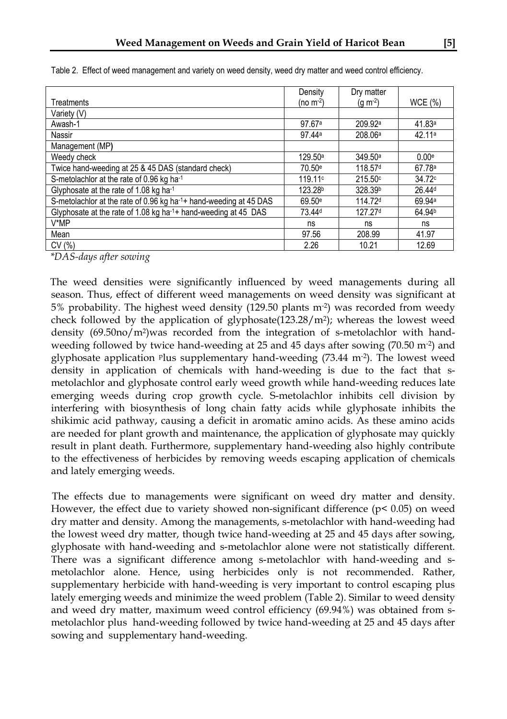|                                                                            | Density             | Dry matter          |                    |
|----------------------------------------------------------------------------|---------------------|---------------------|--------------------|
| Treatments                                                                 | (no m $^{-2}$ )     | $(g m-2)$           | WCE (%)            |
| Variety (V)                                                                |                     |                     |                    |
| Awash-1                                                                    | 97.67a              | 209.92 <sup>a</sup> | 41.83a             |
| Nassir                                                                     | 97.44ª              | 208.06 <sup>a</sup> | 42.11a             |
| Management (MP)                                                            |                     |                     |                    |
| Weedy check                                                                | 129.50 <sup>a</sup> | 349.50 <sup>a</sup> | 0.00 <sub>e</sub>  |
| Twice hand-weeding at 25 & 45 DAS (standard check)                         | 70.50e              | 118.57 <sup>d</sup> | 67.78a             |
| S-metolachlor at the rate of 0.96 kg ha-1                                  | 119.11 <sup>c</sup> | 215.50c             | 34.72c             |
| Glyphosate at the rate of 1.08 kg ha <sup>-1</sup>                         | 123.28 <sup>b</sup> | 328.39 <sup>b</sup> | 26.44 <sup>d</sup> |
| S-metolachlor at the rate of 0.96 kg ha-1+ hand-weeding at 45 DAS          | 69.50 <sup>e</sup>  | 114.72 <sup>d</sup> | 69.94a             |
| Glyphosate at the rate of 1.08 kg ha <sup>-1+</sup> hand-weeding at 45 DAS | 73.44 <sup>d</sup>  | 127.27 <sup>d</sup> | 64.94 <sup>b</sup> |
| V*MP                                                                       | ns                  | ns                  | ns                 |
| Mean                                                                       | 97.56               | 208.99              | 41.97              |
| CV(%)                                                                      | 2.26                | 10.21               | 12.69              |

Table 2. Effect of weed management and variety on weed density, weed dry matter and weed control efficiency.

*\*DAS-days after sowing*

The weed densities were significantly influenced by weed managements during all season. Thus, effect of different weed managements on weed density was significant at 5% probability. The highest weed density (129.50 plants m-2 ) was recorded from weedy check followed by the application of glyphosate $(123.28/m^2)$ ; whereas the lowest weed density (69.50no/m<sup>2</sup> )was recorded from the integration of s-metolachlor with handweeding followed by twice hand-weeding at 25 and 45 days after sowing (70.50 m<sup>-2</sup>) and glyphosate application plus supplementary hand-weeding (73.44 m-2 ). The lowest weed density in application of chemicals with hand-weeding is due to the fact that smetolachlor and glyphosate control early weed growth while hand-weeding reduces late emerging weeds during crop growth cycle. S-metolachlor inhibits cell division by interfering with biosynthesis of long chain fatty acids while glyphosate inhibits the shikimic acid pathway, causing a deficit in aromatic amino acids. As these amino acids are needed for plant growth and maintenance, the application of glyphosate may quickly result in plant death. Furthermore, supplementary hand-weeding also highly contribute to the effectiveness of herbicides by removing weeds escaping application of chemicals and lately emerging weeds.

The effects due to managements were significant on weed dry matter and density. However, the effect due to variety showed non-significant difference ( $p$ < 0.05) on weed dry matter and density. Among the managements, s-metolachlor with hand-weeding had the lowest weed dry matter, though twice hand-weeding at 25 and 45 days after sowing, glyphosate with hand-weeding and s-metolachlor alone were not statistically different. There was a significant difference among s-metolachlor with hand-weeding and smetolachlor alone. Hence, using herbicides only is not recommended. Rather, supplementary herbicide with hand-weeding is very important to control escaping plus lately emerging weeds and minimize the weed problem (Table 2). Similar to weed density and weed dry matter, maximum weed control efficiency (69.94%) was obtained from smetolachlor plus hand-weeding followed by twice hand-weeding at 25 and 45 days after sowing and supplementary hand-weeding.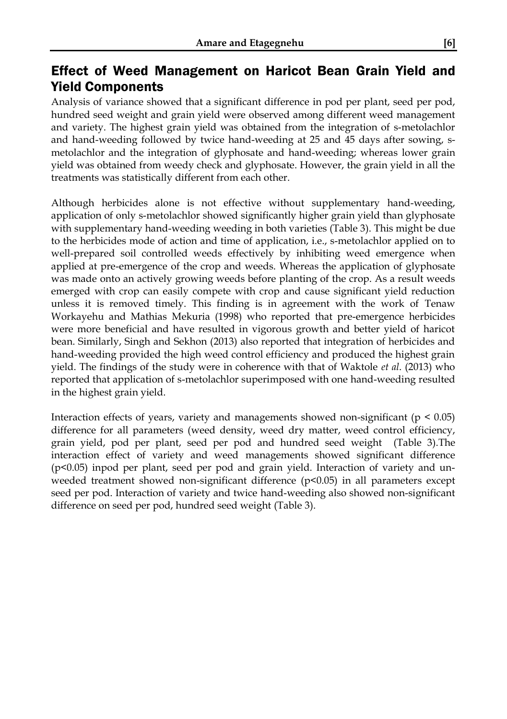#### Effect of Weed Management on Haricot Bean Grain Yield and Yield Components

Analysis of variance showed that a significant difference in pod per plant, seed per pod, hundred seed weight and grain yield were observed among different weed management and variety. The highest grain yield was obtained from the integration of s-metolachlor and hand-weeding followed by twice hand-weeding at 25 and 45 days after sowing, smetolachlor and the integration of glyphosate and hand-weeding; whereas lower grain yield was obtained from weedy check and glyphosate. However, the grain yield in all the treatments was statistically different from each other.

Although herbicides alone is not effective without supplementary hand-weeding, application of only s-metolachlor showed significantly higher grain yield than glyphosate with supplementary hand-weeding weeding in both varieties (Table 3). This might be due to the herbicides mode of action and time of application, i.e., s-metolachlor applied on to well-prepared soil controlled weeds effectively by inhibiting weed emergence when applied at pre-emergence of the crop and weeds. Whereas the application of glyphosate was made onto an actively growing weeds before planting of the crop. As a result weeds emerged with crop can easily compete with crop and cause significant yield reduction unless it is removed timely. This finding is in agreement with the work of Tenaw Workayehu and Mathias Mekuria (1998) who reported that pre-emergence herbicides were more beneficial and have resulted in vigorous growth and better yield of haricot bean. Similarly, Singh and Sekhon (2013) also reported that integration of herbicides and hand-weeding provided the high weed control efficiency and produced the highest grain yield. The findings of the study were in coherence with that of Waktole *et al*. (2013) who reported that application of s-metolachlor superimposed with one hand-weeding resulted in the highest grain yield.

Interaction effects of years, variety and managements showed non-significant ( $p < 0.05$ ) difference for all parameters (weed density, weed dry matter, weed control efficiency, grain yield, pod per plant, seed per pod and hundred seed weight (Table 3).The interaction effect of variety and weed managements showed significant difference (p<0.05) inpod per plant, seed per pod and grain yield. Interaction of variety and unweeded treatment showed non-significant difference (p<0.05) in all parameters except seed per pod. Interaction of variety and twice hand-weeding also showed non-significant difference on seed per pod, hundred seed weight (Table 3).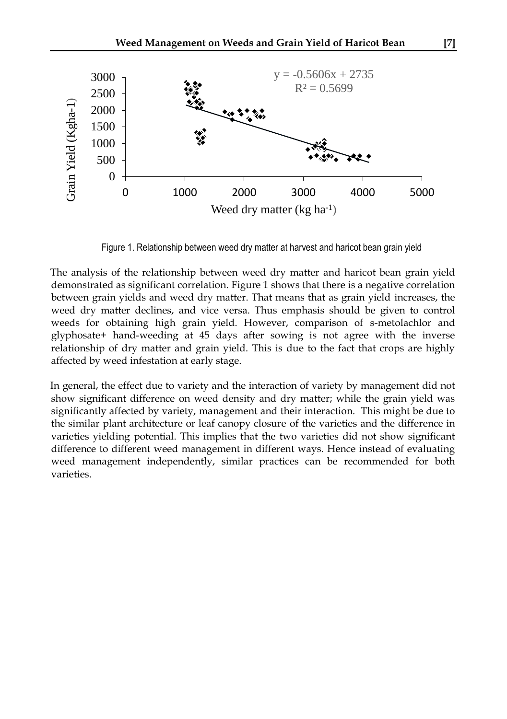

Figure 1. Relationship between weed dry matter at harvest and haricot bean grain yield

The analysis of the relationship between weed dry matter and haricot bean grain yield demonstrated as significant correlation. Figure 1 shows that there is a negative correlation between grain yields and weed dry matter. That means that as grain yield increases, the weed dry matter declines, and vice versa. Thus emphasis should be given to control weeds for obtaining high grain yield. However, comparison of s-metolachlor and glyphosate+ hand-weeding at 45 days after sowing is not agree with the inverse relationship of dry matter and grain yield. This is due to the fact that crops are highly affected by weed infestation at early stage.

In general, the effect due to variety and the interaction of variety by management did not show significant difference on weed density and dry matter; while the grain yield was significantly affected by variety, management and their interaction. This might be due to the similar plant architecture or leaf canopy closure of the varieties and the difference in varieties yielding potential. This implies that the two varieties did not show significant difference to different weed management in different ways. Hence instead of evaluating weed management independently, similar practices can be recommended for both varieties.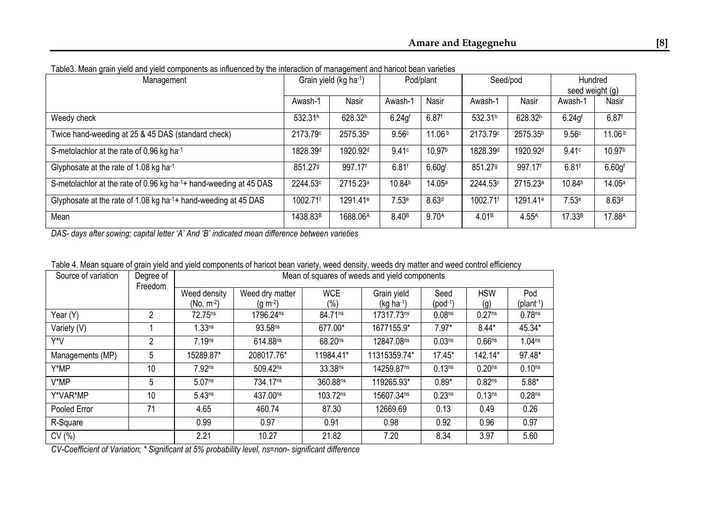| $\sigma$ . The second function of $\sigma$<br>Management                    | Grain yield (kg ha-1) |                      | Pod/plant          |                     | Seed/pod             |                      | Hundred             |                     |
|-----------------------------------------------------------------------------|-----------------------|----------------------|--------------------|---------------------|----------------------|----------------------|---------------------|---------------------|
|                                                                             |                       |                      |                    |                     |                      |                      | seed weight (g)     |                     |
|                                                                             | Awash-1               | Nasir                | Awash-             | Nasir               | Awash-1              | Nasir                | Awash-1             | Nasir               |
| Weedy check                                                                 | 532.31h               | 628.32h              | 6.24q <sup>f</sup> | $6.87$ <sup>f</sup> | 532.31h              | 628.32h              | $6.24$ $a$ f        | $6.87$ <sup>f</sup> |
| Twice hand-weeding at 25 & 45 DAS (standard check)                          | 2173.79c              | 2575.35 <sup>b</sup> | 9.56c              | 11.06 <sup>b</sup>  | 2173.79c             | 2575.35 <sup>b</sup> | 9.56c               | 11.06 <sup>b</sup>  |
| S-metolachlor at the rate of 0.96 kg ha <sup>-1</sup>                       | 1828.39 <sup>d</sup>  | 1920.92 <sup>d</sup> | 9.41c              | 10.97 <sup>b</sup>  | 1828.39 <sup>d</sup> | 1920.92 <sup>d</sup> | 9.41c               | 10.97 <sup>b</sup>  |
| Glyphosate at the rate of 1.08 kg ha-1                                      | 851.279               | 997.17f              | 6.81f              | 6.60 <sub>q</sub>   | 851.279              | 997.17f              | $6.81$ <sup>f</sup> | 6.60 <sub>q</sub>   |
| S-metolachlor at the rate of 0.96 kg ha-1+ hand-weeding at 45 DAS           | 2244.53c              | 2715.23 <sup>a</sup> | 10.84 <sup>b</sup> | 14.05 <sup>a</sup>  | 2244.53c             | 2715.23 <sup>a</sup> | 10.84b              | 14.05a              |
| Glyphosate at the rate of 1.08 kg ha <sup>-1</sup> + hand-weeding at 45 DAS | 1002.71f              | 1291.41 <sup>e</sup> | 7.53e              | 8.63 <sup>d</sup>   | 1002.71f             | 1291.41 <sup>e</sup> | 7.53e               | 8.63 <sup>d</sup>   |
| Mean                                                                        | 1438.83 <sup>B</sup>  | 1688.06A             | 8.40 <sup>B</sup>  | 9.70 <sup>A</sup>   | 4.01 <sup>B</sup>    | 4.55 <sup>A</sup>    | 17.33B              | 17.88A              |

Table3. Mean grain yield and yield components as influenced by the interaction of management and haricot bean varieties

*DAS- days after sowing; capital letter 'A' And 'B' indicated mean difference between varieties*

|  |  |  |  | Table 4. Mean square of grain yield and yield components of haricot bean variety, weed density, weeds dry matter and weed control efficiency |  |
|--|--|--|--|----------------------------------------------------------------------------------------------------------------------------------------------|--|
|  |  |  |  |                                                                                                                                              |  |

| Source of variation | Degree of<br>Freedom | Mean of squares of weeds and yield components |                       |                      |                             |                    |                    |                        |  |  |
|---------------------|----------------------|-----------------------------------------------|-----------------------|----------------------|-----------------------------|--------------------|--------------------|------------------------|--|--|
|                     |                      | Weed density                                  | Weed dry matter       |                      | Grain yield                 | Seed               | <b>HSW</b>         | Pod                    |  |  |
|                     |                      | (No. m <sup>-2</sup> )                        | $(q m-2)$             | (% )                 | $($ kg ha <sup>-1</sup> $)$ | $(pod^{-1})$       | (q)                | (plant <sup>-1</sup> ) |  |  |
| Year (Y)            | 2                    | 72.75 <sup>ns</sup>                           | 1796.24 <sup>ns</sup> | 84.71 <sup>ns</sup>  | 17317.73ns                  | 0.08 <sub>ns</sub> | 0.27 <sup>ns</sup> | 0.78 <sup>ns</sup>     |  |  |
| Variety (V)         |                      | 1.33 <sup>ns</sup>                            | 93.58 <sup>ns</sup>   | 677.00*              | 1677155.9*                  | $7.97*$            | $8.44*$            | 45.34*                 |  |  |
| Y*V                 | 2                    | 7.19ns                                        | 614.88ns              | 68.20 <sup>ns</sup>  | 12847.08ns                  | 0.03 <sub>ns</sub> | 0.66 <sup>ns</sup> | 1.04 <sub>ns</sub>     |  |  |
| Managements (MP)    | 5                    | 15289.87*                                     | 208017.76*            | 11984.41*            | 11315359.74*                | $17.45*$           | 142.14*            | 97.48*                 |  |  |
| Y*MP                | 10                   | 7.92ns                                        | 509.42ns              | 33.38 <sup>ns</sup>  | 14259.87 <sup>ns</sup>      | 0.13 <sup>ns</sup> | 0.20 <sub>ns</sub> | 0.10 <sub>ns</sub>     |  |  |
| V*MP                | 5                    | 5.07ns                                        | 734.17 <sup>ns</sup>  | 360.88ns             | 119265.93*                  | $0.89*$            | 0.82 <sub>ns</sub> | $5.88*$                |  |  |
| Y*VAR*MP            | 10                   | 5.43ns                                        | 437.00 <sup>ns</sup>  | 103.72 <sup>ns</sup> | 15607.34ns                  | 0.23 <sup>ns</sup> | 0.13 <sup>ns</sup> | 0.28 <sub>ns</sub>     |  |  |
| Pooled Error        | 71                   | 4.65                                          | 460.74                | 87.30                | 12669.69                    | 0.13               | 0.49               | 0.26                   |  |  |
| R-Square            |                      | 0.99                                          | 0.97                  | 0.91                 | 0.98                        | 0.92               | 0.96               | 0.97                   |  |  |
| CV (%)              |                      | 2.21                                          | 10.27                 | 21.82                | 7.20                        | 8.34               | 3.97               | 5.60                   |  |  |

*CV-Coefficient of Variation; \* Significant at 5% probability level, ns=non- significant difference*